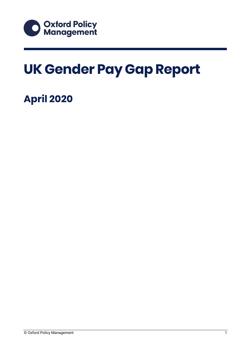

# **UK Gender Pay Gap Report**

### **April 2020**

© Oxford Policy Management 1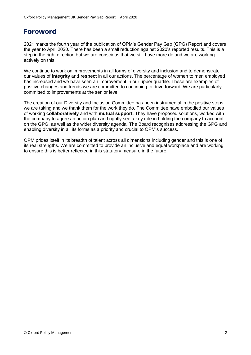### **Foreword**

2021 marks the fourth year of the publication of OPM's Gender Pay Gap (GPG) Report and covers the year to April 2020. There has been a small reduction against 2020's reported results. This is a step in the right direction but we are conscious that we still have more do and we are working actively on this.

We continue to work on improvements in all forms of diversity and inclusion and to demonstrate our values of **integrity** and **respect** in all our actions. The percentage of women to men employed has increased and we have seen an improvement in our upper quartile. These are examples of positive changes and trends we are committed to continuing to drive forward. We are particularly committed to improvements at the senior level.

The creation of our Diversity and Inclusion Committee has been instrumental in the positive steps we are taking and we thank them for the work they do. The Committee have embodied our values of working **collaboratively** and with **mutual support**. They have proposed solutions, worked with the company to agree an action plan and rightly see a key role in holding the company to account on the GPG, as well as the wider diversity agenda. The Board recognises addressing the GPG and enabling diversity in all its forms as a priority and crucial to OPM's success.

OPM prides itself in its breadth of talent across all dimensions including gender and this is one of its real strengths. We are committed to provide an inclusive and equal workplace and are working to ensure this is better reflected in this statutory measure in the future.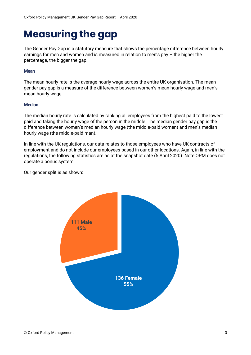### **Measuring the gap**

The Gender Pay Gap is a statutory measure that shows the percentage difference between hourly earnings for men and women and is measured in relation to men's pay – the higher the percentage, the bigger the gap.

#### **Mean**

The mean hourly rate is the average hourly wage across the entire UK organisation. The mean gender pay gap is a measure of the difference between women's mean hourly wage and men's mean hourly wage.

#### **Median**

The median hourly rate is calculated by ranking all employees from the highest paid to the lowest paid and taking the hourly wage of the person in the middle. The median gender pay gap is the difference between women's median hourly wage (the middle-paid women) and men's median hourly wage (the middle-paid man).

In line with the UK regulations, our data relates to those employees who have UK contracts of employment and do not include our employees based in our other locations. Again, in line with the regulations, the following statistics are as at the snapshot date (5 April 2020). Note OPM does not operate a bonus system.

Our gender split is as shown:

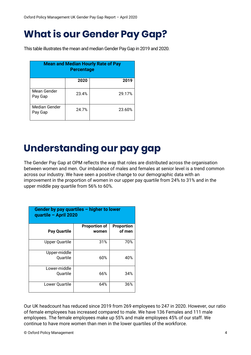### **What is our Gender Pay Gap?**

This table illustrates the mean and median Gender Pay Gap in 2019 and 2020.

| <b>Mean and Median Hourly Rate of Pay</b><br><b>Percentage</b> |       |        |  |
|----------------------------------------------------------------|-------|--------|--|
|                                                                | 2020  | 2019   |  |
| Mean Gender<br>Pay Gap                                         | 23.4% | 29.17% |  |
| <b>Median Gender</b><br>Pay Gap                                | 24.7% | 23.60% |  |

## **Understanding our pay gap**

The Gender Pay Gap at OPM reflects the way that roles are distributed across the organisation between women and men. Our imbalance of males and females at senior level is a trend common across our industry. We have seen a positive change to our demographic data with an improvement in the proportion of women in our upper pay quartile from 24% to 31% and in the upper middle pay quartile from 56% to 60%.

| Gender by pay quartiles $-$ higher to lower<br>quartile - April 2020 |                               |                             |  |  |
|----------------------------------------------------------------------|-------------------------------|-----------------------------|--|--|
| <b>Pay Quartile</b>                                                  | <b>Proportion of</b><br>women | <b>Proportion</b><br>of men |  |  |
| <b>Upper Quartile</b>                                                | 31%                           | 70%                         |  |  |
| Upper-middle<br>Quartile                                             | 60%                           | 40%                         |  |  |
| Lower-middle<br><b>Ouartile</b>                                      | 66%                           | 34%                         |  |  |
| Lower Quartile                                                       | 64%                           | 36%                         |  |  |

Our UK headcount has reduced since 2019 from 269 employees to 247 in 2020. However, our ratio of female employees has increased compared to male. We have 136 Females and 111 male employees. The female employees make up 55% and male employees 45% of our staff. We continue to have more women than men in the lower quartiles of the workforce.